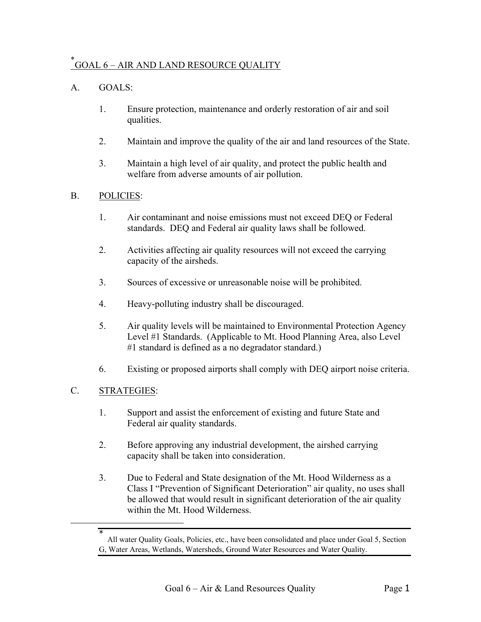# [\\*](#page-0-0) GOAL 6 – AIR AND LAND RESOURCE QUALITY

## A. GOALS:

- 1. Ensure protection, maintenance and orderly restoration of air and soil qualities.
- 2. Maintain and improve the quality of the air and land resources of the State.
- 3. Maintain a high level of air quality, and protect the public health and welfare from adverse amounts of air pollution.

### B. POLICIES:

- 1. Air contaminant and noise emissions must not exceed DEQ or Federal standards. DEQ and Federal air quality laws shall be followed.
- 2. Activities affecting air quality resources will not exceed the carrying capacity of the airsheds.
- 3. Sources of excessive or unreasonable noise will be prohibited.
- 4. Heavy-polluting industry shall be discouraged.
- 5. Air quality levels will be maintained to Environmental Protection Agency Level #1 Standards. (Applicable to Mt. Hood Planning Area, also Level #1 standard is defined as a no degradator standard.)
- 6. Existing or proposed airports shall comply with DEQ airport noise criteria.

### C. STRATEGIES:

 $\overline{a}$ 

<span id="page-0-0"></span>\*

- 1. Support and assist the enforcement of existing and future State and Federal air quality standards.
- 2. Before approving any industrial development, the airshed carrying capacity shall be taken into consideration.
- 3. Due to Federal and State designation of the Mt. Hood Wilderness as a Class I "Prevention of Significant Deterioration" air quality, no uses shall be allowed that would result in significant deterioration of the air quality within the Mt. Hood Wilderness.

All water Quality Goals, Policies, etc., have been consolidated and place under Goal 5, Section G, Water Areas, Wetlands, Watersheds, Ground Water Resources and Water Quality.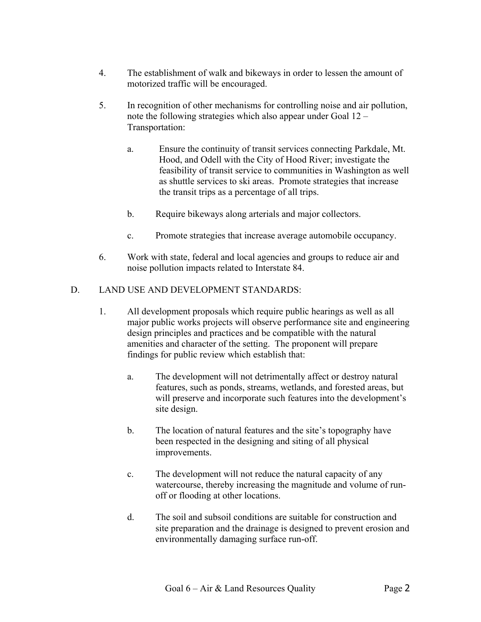- 4. The establishment of walk and bikeways in order to lessen the amount of motorized traffic will be encouraged.
- 5. In recognition of other mechanisms for controlling noise and air pollution, note the following strategies which also appear under Goal 12 – Transportation:
	- a. Ensure the continuity of transit services connecting Parkdale, Mt. Hood, and Odell with the City of Hood River; investigate the feasibility of transit service to communities in Washington as well as shuttle services to ski areas. Promote strategies that increase the transit trips as a percentage of all trips.
	- b. Require bikeways along arterials and major collectors.
	- c. Promote strategies that increase average automobile occupancy.
- 6. Work with state, federal and local agencies and groups to reduce air and noise pollution impacts related to Interstate 84.

### D. LAND USE AND DEVELOPMENT STANDARDS:

- 1. All development proposals which require public hearings as well as all major public works projects will observe performance site and engineering design principles and practices and be compatible with the natural amenities and character of the setting. The proponent will prepare findings for public review which establish that:
	- a. The development will not detrimentally affect or destroy natural features, such as ponds, streams, wetlands, and forested areas, but will preserve and incorporate such features into the development's site design.
	- b. The location of natural features and the site's topography have been respected in the designing and siting of all physical improvements.
	- c. The development will not reduce the natural capacity of any watercourse, thereby increasing the magnitude and volume of runoff or flooding at other locations.
	- d. The soil and subsoil conditions are suitable for construction and site preparation and the drainage is designed to prevent erosion and environmentally damaging surface run-off.